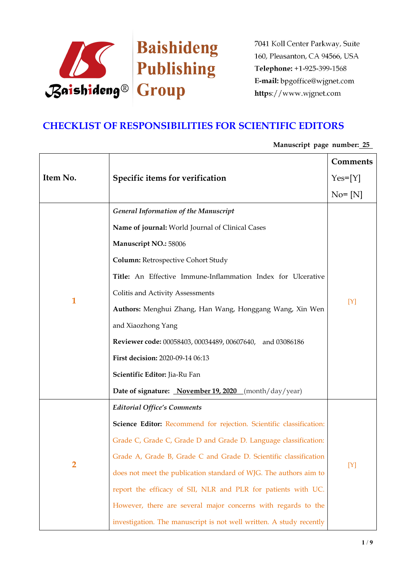

# **CHECKLIST OF RESPONSIBILITIES FOR SCIENTIFIC EDITORS**

|              |                                                                     | Comments   |
|--------------|---------------------------------------------------------------------|------------|
| Item No.     | Specific items for verification                                     | $Yes=[Y]$  |
|              |                                                                     | $No = [N]$ |
|              | <b>General Information of the Manuscript</b>                        |            |
|              | Name of journal: World Journal of Clinical Cases                    |            |
|              | Manuscript NO.: 58006                                               | $[Y]$      |
|              | <b>Column: Retrospective Cohort Study</b>                           |            |
|              | Title: An Effective Immune-Inflammation Index for Ulcerative        |            |
|              | Colitis and Activity Assessments                                    |            |
| $\mathbf{1}$ | Authors: Menghui Zhang, Han Wang, Honggang Wang, Xin Wen            |            |
|              | and Xiaozhong Yang                                                  |            |
|              | Reviewer code: 00058403, 00034489, 00607640, and 03086186           |            |
|              | First decision: 2020-09-14 06:13                                    |            |
|              | Scientific Editor: Jia-Ru Fan                                       |            |
|              | Date of signature: November 19, 2020 (month/day/year)               |            |
|              | <b>Editorial Office's Comments</b>                                  |            |
|              | Science Editor: Recommend for rejection. Scientific classification: |            |
|              | Grade C, Grade C, Grade D and Grade D. Language classification:     | [Y]        |
| 2            | Grade A, Grade B, Grade C and Grade D. Scientific classification    |            |
|              | does not meet the publication standard of WJG. The authors aim to   |            |
|              | report the efficacy of SII, NLR and PLR for patients with UC.       |            |
|              | However, there are several major concerns with regards to the       |            |
|              | investigation. The manuscript is not well written. A study recently |            |

**Manuscript page number: 25**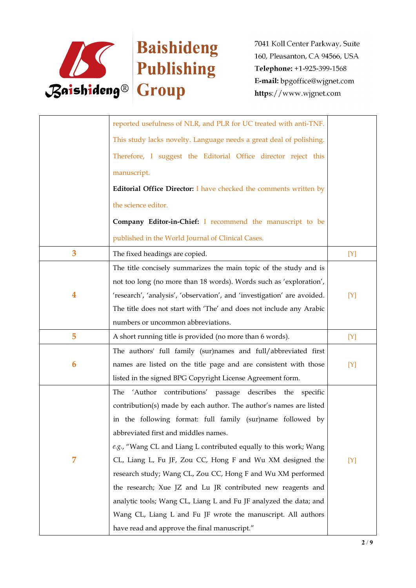

|                  | reported usefulness of NLR, and PLR for UC treated with anti-TNF.       |     |
|------------------|-------------------------------------------------------------------------|-----|
|                  | This study lacks novelty. Language needs a great deal of polishing.     |     |
|                  | Therefore, I suggest the Editorial Office director reject this          |     |
|                  | manuscript.                                                             |     |
|                  | Editorial Office Director: I have checked the comments written by       |     |
|                  | the science editor.                                                     |     |
|                  | Company Editor-in-Chief: I recommend the manuscript to be               |     |
|                  | published in the World Journal of Clinical Cases.                       |     |
| 3                | The fixed headings are copied.                                          | [Y] |
|                  | The title concisely summarizes the main topic of the study and is       |     |
|                  | not too long (no more than 18 words). Words such as 'exploration',      |     |
| $\boldsymbol{4}$ | 'research', 'analysis', 'observation', and 'investigation' are avoided. | [Y] |
|                  | The title does not start with 'The' and does not include any Arabic     |     |
|                  | numbers or uncommon abbreviations.                                      |     |
| 5                | A short running title is provided (no more than 6 words).               | [Y] |
|                  | The authors' full family (sur)names and full/abbreviated first          |     |
| 6                | names are listed on the title page and are consistent with those        | [Y] |
|                  | listed in the signed BPG Copyright License Agreement form.              |     |
|                  | The 'Author contributions' passage describes the specific               |     |
|                  | contribution(s) made by each author. The author's names are listed      |     |
|                  | in the following format: full family (sur)name followed by              |     |
|                  | abbreviated first and middles names.                                    |     |
|                  | e.g., "Wang CL and Liang L contributed equally to this work; Wang       |     |
| 7                | CL, Liang L, Fu JF, Zou CC, Hong F and Wu XM designed the               | [Y] |
|                  | research study; Wang CL, Zou CC, Hong F and Wu XM performed             |     |
|                  | the research; Xue JZ and Lu JR contributed new reagents and             |     |
|                  | analytic tools; Wang CL, Liang L and Fu JF analyzed the data; and       |     |
|                  | Wang CL, Liang L and Fu JF wrote the manuscript. All authors            |     |
|                  | have read and approve the final manuscript."                            |     |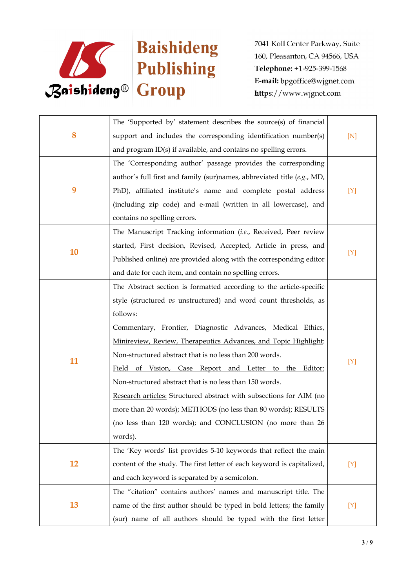

|           | The 'Supported by' statement describes the source(s) of financial       |     |
|-----------|-------------------------------------------------------------------------|-----|
| 8         | support and includes the corresponding identification number(s)         | [N] |
|           | and program ID(s) if available, and contains no spelling errors.        |     |
|           | The 'Corresponding author' passage provides the corresponding           |     |
|           | author's full first and family (sur)names, abbreviated title (e.g., MD, |     |
| 9         | PhD), affiliated institute's name and complete postal address           | [Y] |
|           | (including zip code) and e-mail (written in all lowercase), and         |     |
|           | contains no spelling errors.                                            |     |
|           | The Manuscript Tracking information (i.e., Received, Peer review        |     |
|           | started, First decision, Revised, Accepted, Article in press, and       |     |
| 10        | Published online) are provided along with the corresponding editor      | [Y] |
|           | and date for each item, and contain no spelling errors.                 |     |
|           | The Abstract section is formatted according to the article-specific     |     |
|           | style (structured vs unstructured) and word count thresholds, as        |     |
|           | follows:                                                                |     |
|           | Commentary, Frontier, Diagnostic Advances, Medical Ethics,              |     |
|           | Minireview, Review, Therapeutics Advances, and Topic Highlight:         | [Y] |
| 11        | Non-structured abstract that is no less than 200 words.                 |     |
|           | Field of Vision, Case Report and Letter to the Editor:                  |     |
|           | Non-structured abstract that is no less than 150 words.                 |     |
|           | Research articles: Structured abstract with subsections for AIM (no     |     |
|           | more than 20 words); METHODS (no less than 80 words); RESULTS           |     |
|           | (no less than 120 words); and CONCLUSION (no more than 26               |     |
|           | words).                                                                 |     |
|           | The 'Key words' list provides 5-10 keywords that reflect the main       |     |
| <b>12</b> | content of the study. The first letter of each keyword is capitalized,  | [Y] |
|           | and each keyword is separated by a semicolon.                           |     |
|           | The "citation" contains authors' names and manuscript title. The        |     |
| 13        | name of the first author should be typed in bold letters; the family    | [Y] |
|           | (sur) name of all authors should be typed with the first letter         |     |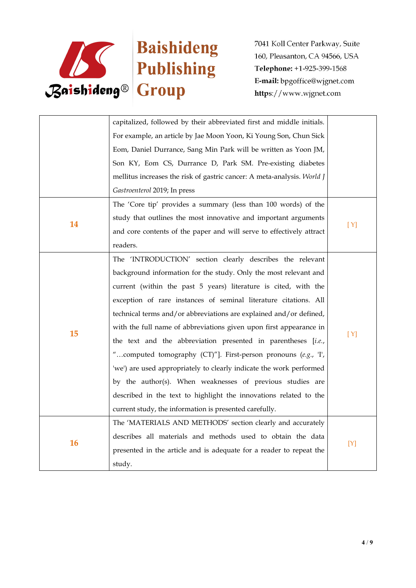

|           | capitalized, followed by their abbreviated first and middle initials.              |     |
|-----------|------------------------------------------------------------------------------------|-----|
|           | For example, an article by Jae Moon Yoon, Ki Young Son, Chun Sick                  |     |
|           | Eom, Daniel Durrance, Sang Min Park will be written as Yoon JM,                    |     |
|           | Son KY, Eom CS, Durrance D, Park SM. Pre-existing diabetes                         |     |
|           | mellitus increases the risk of gastric cancer: A meta-analysis. World J            |     |
|           | Gastroenterol 2019; In press                                                       |     |
|           | The 'Core tip' provides a summary (less than 100 words) of the                     |     |
|           | study that outlines the most innovative and important arguments                    |     |
| 14        | and core contents of the paper and will serve to effectively attract               | [Y] |
|           | readers.                                                                           |     |
|           | The 'INTRODUCTION' section clearly describes the relevant                          |     |
|           | background information for the study. Only the most relevant and                   |     |
|           | current (within the past 5 years) literature is cited, with the                    |     |
|           | exception of rare instances of seminal literature citations. All                   |     |
|           | technical terms and/or abbreviations are explained and/or defined,                 |     |
| 15        | with the full name of abbreviations given upon first appearance in                 |     |
|           | the text and the abbreviation presented in parentheses [i.e.,                      | [Y] |
|           | "computed tomography (CT)"]. First-person pronouns (e.g., 'I',                     |     |
|           | 'we') are used appropriately to clearly indicate the work performed                |     |
|           | by the author(s). When weaknesses of previous studies are                          |     |
|           | described in the text to highlight the innovations related to the                  |     |
|           | current study, the information is presented carefully.                             |     |
|           | The 'MATERIALS AND METHODS' section clearly and accurately                         |     |
| <b>16</b> | describes all materials and methods used to obtain the data                        |     |
|           | $[{\rm Y}]$<br>presented in the article and is adequate for a reader to repeat the |     |
|           |                                                                                    |     |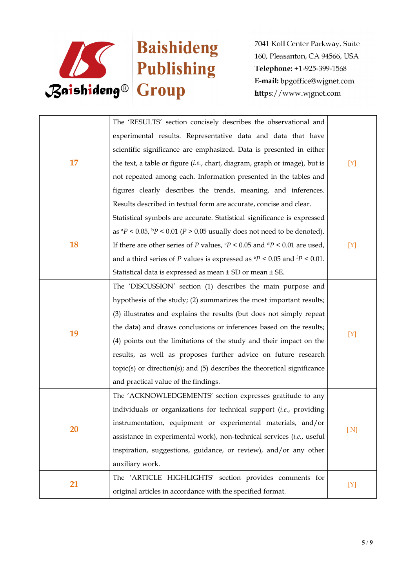

|    | The 'RESULTS' section concisely describes the observational and                                    |     |
|----|----------------------------------------------------------------------------------------------------|-----|
|    | experimental results. Representative data and data that have                                       |     |
|    | scientific significance are emphasized. Data is presented in either                                |     |
| 17 | the text, a table or figure (i.e., chart, diagram, graph or image), but is                         | [Y] |
|    | not repeated among each. Information presented in the tables and                                   |     |
|    | figures clearly describes the trends, meaning, and inferences.                                     |     |
|    | Results described in textual form are accurate, concise and clear.                                 |     |
|    | Statistical symbols are accurate. Statistical significance is expressed                            |     |
|    | as ${}^{a}P$ < 0.05, ${}^{b}P$ < 0.01 (P > 0.05 usually does not need to be denoted).              |     |
| 18 | If there are other series of $P$ values, $\frac{c}{P}$ < 0.05 and $\frac{dP}{dP}$ < 0.01 are used, | [Y] |
|    | and a third series of P values is expressed as $\degree P$ < 0.05 and $\degree P$ < 0.01.          |     |
|    | Statistical data is expressed as mean ± SD or mean ± SE.                                           |     |
|    | The 'DISCUSSION' section (1) describes the main purpose and                                        |     |
|    | hypothesis of the study; (2) summarizes the most important results;                                |     |
|    | (3) illustrates and explains the results (but does not simply repeat                               |     |
| 19 | the data) and draws conclusions or inferences based on the results;                                |     |
|    | (4) points out the limitations of the study and their impact on the                                | [Y] |
|    | results, as well as proposes further advice on future research                                     |     |
|    | topic(s) or direction(s); and (5) describes the theoretical significance                           |     |
|    | and practical value of the findings.                                                               |     |
|    | The 'ACKNOWLEDGEMENTS' section expresses gratitude to any                                          |     |
|    | individuals or organizations for technical support (i.e., providing                                |     |
| 20 | instrumentation, equipment or experimental materials, and/or                                       | [N] |
|    | assistance in experimental work), non-technical services (i.e., useful                             |     |
|    | inspiration, suggestions, guidance, or review), and/or any other                                   |     |
|    | auxiliary work.                                                                                    |     |
| 21 | The 'ARTICLE HIGHLIGHTS' section provides comments for                                             |     |
|    | original articles in accordance with the specified format.                                         | [Y] |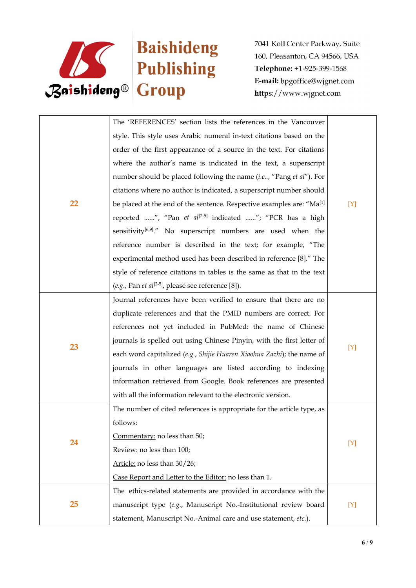

|    | The 'REFERENCES' section lists the references in the Vancouver                    |     |  |
|----|-----------------------------------------------------------------------------------|-----|--|
|    | style. This style uses Arabic numeral in-text citations based on the              |     |  |
|    | order of the first appearance of a source in the text. For citations              |     |  |
|    | where the author's name is indicated in the text, a superscript                   |     |  |
|    | number should be placed following the name (i.e, "Pang et al"). For               |     |  |
|    | citations where no author is indicated, a superscript number should               |     |  |
| 22 | be placed at the end of the sentence. Respective examples are: "Ma <sup>[1]</sup> | [Y] |  |
|    | reported ", "Pan et al <sup>[2-5]</sup> indicated "; "PCR has a high              |     |  |
|    | sensitivity <sup>[6,9]</sup> ." No superscript numbers are used when the          |     |  |
|    | reference number is described in the text; for example, "The                      |     |  |
|    | experimental method used has been described in reference [8]." The                |     |  |
|    | style of reference citations in tables is the same as that in the text            |     |  |
|    | (e.g., Pan et al <sup>[2-5]</sup> , please see reference [8]).                    |     |  |
|    | Journal references have been verified to ensure that there are no                 |     |  |
|    | duplicate references and that the PMID numbers are correct. For                   |     |  |
|    | references not yet included in PubMed: the name of Chinese                        |     |  |
| 23 | journals is spelled out using Chinese Pinyin, with the first letter of            |     |  |
|    | each word capitalized (e.g., Shijie Huaren Xiaohua Zazhi); the name of            | [Y] |  |
|    | journals in other languages are listed according to indexing                      |     |  |
|    | information retrieved from Google. Book references are presented                  |     |  |
|    | with all the information relevant to the electronic version.                      |     |  |
|    | The number of cited references is appropriate for the article type, as            |     |  |
|    | follows:                                                                          |     |  |
|    | Commentary: no less than 50;                                                      | [Y] |  |
| 24 | Review: no less than 100;                                                         |     |  |
|    | Article: no less than 30/26;                                                      |     |  |
|    | Case Report and Letter to the Editor: no less than 1.                             |     |  |
|    | The ethics-related statements are provided in accordance with the                 |     |  |
| 25 | manuscript type (e.g., Manuscript No.-Institutional review board                  | [Y] |  |
|    | statement, Manuscript No.-Animal care and use statement, etc.).                   |     |  |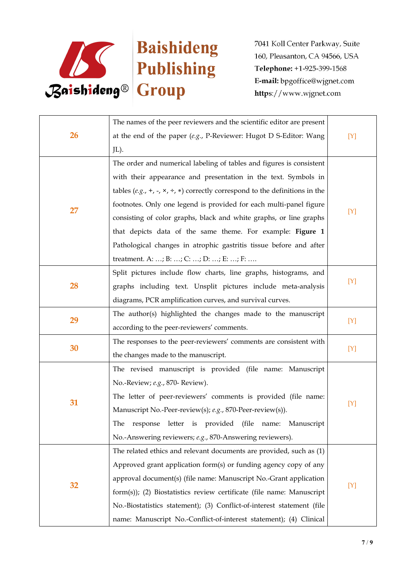

|    | The names of the peer reviewers and the scientific editor are present                     |         |
|----|-------------------------------------------------------------------------------------------|---------|
| 26 | at the end of the paper $(e.g., P\text{-}Reviewer: Hugot D S\text{-}Editor: Wang)$        | $[Y]$   |
|    | JL).                                                                                      |         |
|    | The order and numerical labeling of tables and figures is consistent                      |         |
|    | with their appearance and presentation in the text. Symbols in                            |         |
|    | tables (e.g., +, -, $\times$ , ÷, $\ast$ ) correctly correspond to the definitions in the |         |
|    | footnotes. Only one legend is provided for each multi-panel figure                        |         |
| 27 | consisting of color graphs, black and white graphs, or line graphs                        | $[ Y ]$ |
|    | that depicts data of the same theme. For example: Figure 1                                |         |
|    | Pathological changes in atrophic gastritis tissue before and after                        |         |
|    | treatment. A: ; B: ; C: ; D: ; E: ; F:                                                    |         |
|    | Split pictures include flow charts, line graphs, histograms, and                          |         |
| 28 | graphs including text. Unsplit pictures include meta-analysis                             | [Y]     |
|    | diagrams, PCR amplification curves, and survival curves.                                  |         |
|    | The author(s) highlighted the changes made to the manuscript                              |         |
| 29 | according to the peer-reviewers' comments.                                                | $[Y]$   |
|    | The responses to the peer-reviewers' comments are consistent with                         |         |
| 30 | the changes made to the manuscript.                                                       | [Y]     |
|    | The revised manuscript is provided (file name: Manuscript                                 |         |
|    | No.-Review; e.g., 870- Review).                                                           |         |
|    | The letter of peer-reviewers' comments is provided (file name:                            |         |
| 31 | Manuscript No.-Peer-review(s); e.g., 870-Peer-review(s)).                                 | $[Y]$   |
|    | The response letter is provided (file name: Manuscript                                    |         |
|    | No.-Answering reviewers; e.g., 870-Answering reviewers).                                  |         |
|    | The related ethics and relevant documents are provided, such as (1)                       |         |
|    | Approved grant application form(s) or funding agency copy of any                          |         |
|    | approval document(s) (file name: Manuscript No.-Grant application                         |         |
| 32 | form(s)); (2) Biostatistics review certificate (file name: Manuscript                     | [Y]     |
|    | No.-Biostatistics statement); (3) Conflict-of-interest statement (file                    |         |
|    | name: Manuscript No.-Conflict-of-interest statement); (4) Clinical                        |         |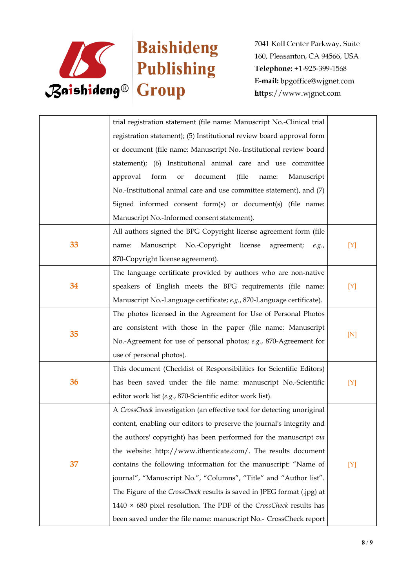

| trial registration statement (file name: Manuscript No.-Clinical trial    |       |
|---------------------------------------------------------------------------|-------|
| registration statement); (5) Institutional review board approval form     |       |
| or document (file name: Manuscript No.-Institutional review board         |       |
| statement); (6) Institutional animal care and use committee               |       |
| approval<br>form<br>document<br>(file<br>Manuscript<br>or<br>name:        |       |
| No.-Institutional animal care and use committee statement), and (7)       |       |
| Signed informed consent form(s) or document(s) (file name:                |       |
| Manuscript No.-Informed consent statement).                               |       |
| All authors signed the BPG Copyright license agreement form (file         |       |
| 33<br>Manuscript No.-Copyright license agreement;<br>name:<br>e.g.,       | $[Y]$ |
| 870-Copyright license agreement).                                         |       |
| The language certificate provided by authors who are non-native           |       |
| 34<br>speakers of English meets the BPG requirements (file name:          | [Y]   |
| Manuscript No.-Language certificate; e.g., 870-Language certificate).     |       |
| The photos licensed in the Agreement for Use of Personal Photos           |       |
| are consistent with those in the paper (file name: Manuscript             |       |
| 35<br>No.-Agreement for use of personal photos; e.g., 870-Agreement for   | [N]   |
| use of personal photos).                                                  |       |
| This document (Checklist of Responsibilities for Scientific Editors)      |       |
| 36<br>has been saved under the file name: manuscript No.-Scientific       | [Y]   |
| editor work list (e.g., 870-Scientific editor work list).                 |       |
| A CrossCheck investigation (an effective tool for detecting unoriginal    |       |
| content, enabling our editors to preserve the journal's integrity and     |       |
| the authors' copyright) has been performed for the manuscript via         |       |
| the website: http://www.ithenticate.com/. The results document            |       |
| 37<br>contains the following information for the manuscript: "Name of     | [Y]   |
| journal", "Manuscript No.", "Columns", "Title" and "Author list".         |       |
| The Figure of the CrossCheck results is saved in JPEG format (.jpg) at    |       |
| 1440 $\times$ 680 pixel resolution. The PDF of the CrossCheck results has |       |
| been saved under the file name: manuscript No.- CrossCheck report         |       |